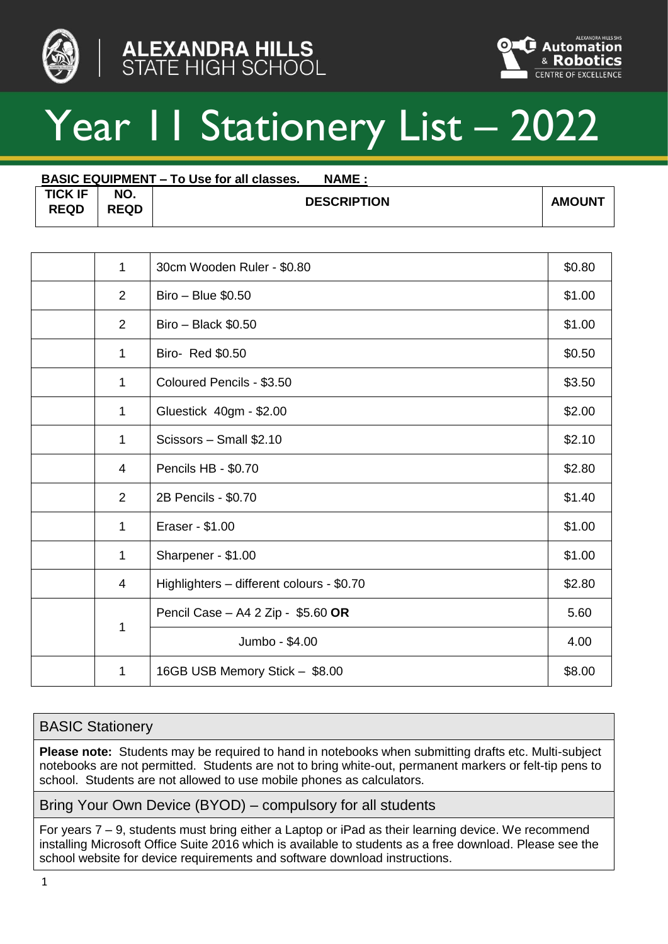



# Year 11 Stationery List – 2022

|                               | <b>BASIC EQUIPMENT – To Use for all classes.</b><br><b>NAME:</b> |                    |        |  |  |  |
|-------------------------------|------------------------------------------------------------------|--------------------|--------|--|--|--|
| <b>TICK IF</b><br><b>REQD</b> | NO.<br><b>REQD</b>                                               | <b>DESCRIPTION</b> | AMOUNT |  |  |  |

| 1              | 30cm Wooden Ruler - \$0.80                | \$0.80 |
|----------------|-------------------------------------------|--------|
| $\overline{2}$ | Biro - Blue \$0.50                        | \$1.00 |
| 2              | $Biro - Black $0.50$                      | \$1.00 |
| 1              | Biro- Red \$0.50                          | \$0.50 |
| 1              | Coloured Pencils - \$3.50                 | \$3.50 |
| 1              | Gluestick 40gm - \$2.00                   | \$2.00 |
| 1              | Scissors - Small \$2.10                   | \$2.10 |
| 4              | Pencils HB - \$0.70                       | \$2.80 |
| $\overline{2}$ | 2B Pencils - \$0.70                       | \$1.40 |
| 1              | Eraser - \$1.00                           | \$1.00 |
| 1              | Sharpener - \$1.00                        | \$1.00 |
| 4              | Highlighters - different colours - \$0.70 | \$2.80 |
|                | Pencil Case - A4 2 Zip - \$5.60 OR        | 5.60   |
| 1              | Jumbo - \$4.00                            | 4.00   |
| 1              | 16GB USB Memory Stick - \$8.00            | \$8.00 |

#### BASIC Stationery

**Please note:** Students may be required to hand in notebooks when submitting drafts etc. Multi-subject notebooks are not permitted. Students are not to bring white-out, permanent markers or felt-tip pens to school. Students are not allowed to use mobile phones as calculators.

Bring Your Own Device (BYOD) – compulsory for all students

For years 7 – 9, students must bring either a Laptop or iPad as their learning device. We recommend installing Microsoft Office Suite 2016 which is available to students as a free download. Please see the school website for device requirements and software download instructions.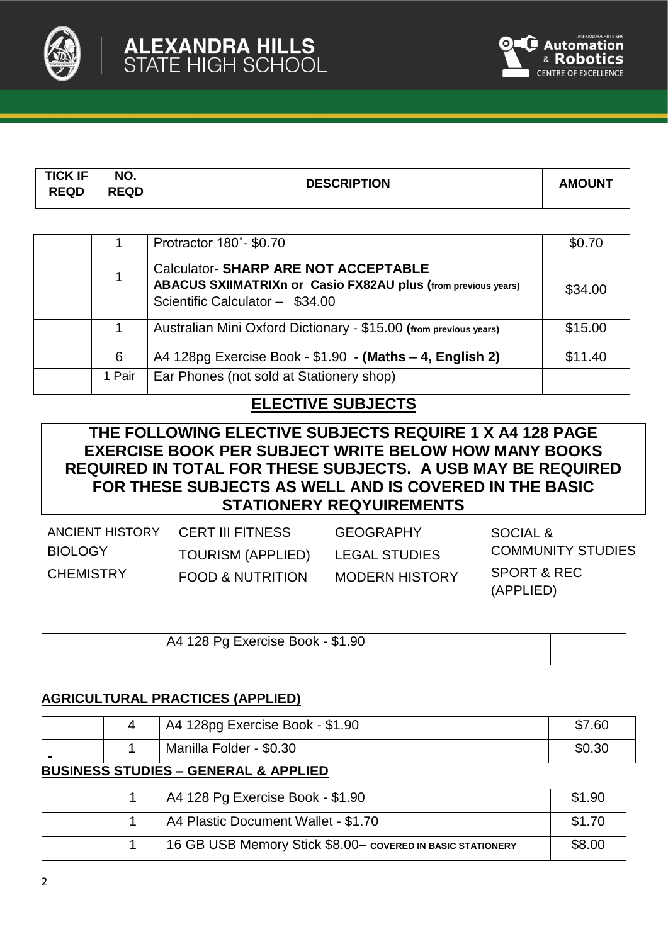



| <b>TICK IF</b><br><b>REQD</b> | NO.<br><b>REQD</b> | <b>DESCRIPTION</b> | <b>AMOUNT</b> |
|-------------------------------|--------------------|--------------------|---------------|
|                               |                    |                    |               |

|        | Protractor 180°- \$0.70                                                                                                                               | \$0.70  |
|--------|-------------------------------------------------------------------------------------------------------------------------------------------------------|---------|
|        | <b>Calculator-SHARP ARE NOT ACCEPTABLE</b><br><b>ABACUS SXIIMATRIXn or Casio FX82AU plus (from previous years)</b><br>Scientific Calculator - \$34.00 | \$34.00 |
|        | Australian Mini Oxford Dictionary - \$15.00 (from previous years)                                                                                     | \$15.00 |
| 6      | A4 128pg Exercise Book - \$1.90 - (Maths - 4, English 2)                                                                                              | \$11.40 |
| 1 Pair | Ear Phones (not sold at Stationery shop)                                                                                                              |         |

# **ELECTIVE SUBJECTS**

# **THE FOLLOWING ELECTIVE SUBJECTS REQUIRE 1 X A4 128 PAGE EXERCISE BOOK PER SUBJECT WRITE BELOW HOW MANY BOOKS REQUIRED IN TOTAL FOR THESE SUBJECTS. A USB MAY BE REQUIRED FOR THESE SUBJECTS AS WELL AND IS COVERED IN THE BASIC STATIONERY REQYUIREMENTS**

| ANCIENT HISTORY  | <b>CERT III FITNESS</b>     | <b>GEOGRAPHY</b>      | SOCIAL &                            |
|------------------|-----------------------------|-----------------------|-------------------------------------|
| <b>BIOLOGY</b>   | <b>TOURISM (APPLIED)</b>    | <b>LEGAL STUDIES</b>  | <b>COMMUNITY STUDIES</b>            |
| <b>CHEMISTRY</b> | <b>FOOD &amp; NUTRITION</b> | <b>MODERN HISTORY</b> | <b>SPORT &amp; REC</b><br>(APPLIED) |

|  | A4 128 Pg Exercise Book - \$1.90 |  |
|--|----------------------------------|--|
|  |                                  |  |

#### **AGRICULTURAL PRACTICES (APPLIED)**

|  | A4 128pg Exercise Book - \$1.90 | \$7.60 |
|--|---------------------------------|--------|
|  | Manilla Folder - \$0.30         | \$0.30 |

#### **BUSINESS STUDIES – GENERAL & APPLIED**

|  | A4 128 Pg Exercise Book - \$1.90                           | \$1.90 |
|--|------------------------------------------------------------|--------|
|  | A4 Plastic Document Wallet - \$1.70                        | \$1.70 |
|  | 16 GB USB Memory Stick \$8.00- COVERED IN BASIC STATIONERY | \$8.00 |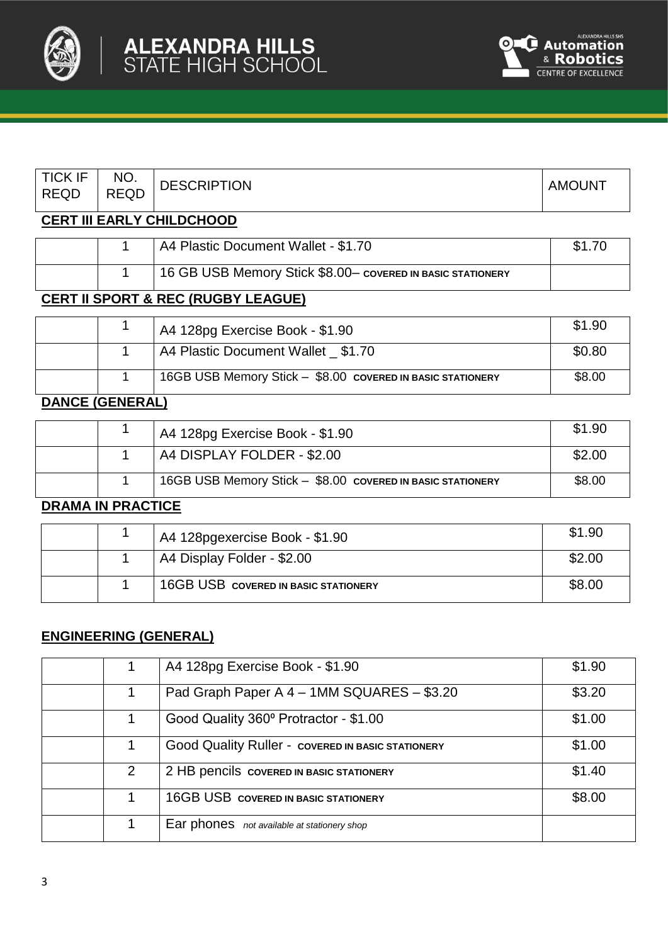



 $\mathbf{I}$ 

| <b>TICK IF</b><br><b>REQD</b> | NO.<br><b>REQD</b> | <b>DESCRIPTION</b>                                         | <b>AMOUNT</b> |
|-------------------------------|--------------------|------------------------------------------------------------|---------------|
|                               |                    | <b>CERT III EARLY CHILDCHOOD</b>                           |               |
|                               |                    | A4 Plastic Document Wallet - \$1.70                        | \$1.70        |
|                               |                    | 16 GB USB Memory Stick \$8.00- COVERED IN BASIC STATIONERY |               |
| 8557 U                        | .                  | BEA /BUABV LE LAUE\                                        |               |

# **CERT II SPORT & REC (RUGBY LEAGUE)**

|  | A4 128pg Exercise Book - \$1.90                            | \$1.90 |
|--|------------------------------------------------------------|--------|
|  | A4 Plastic Document Wallet \$1.70                          | \$0.80 |
|  | 16GB USB Memory Stick - \$8.00 COVERED IN BASIC STATIONERY | \$8.00 |

# **DANCE (GENERAL)**

| \$2.00<br>A4 DISPLAY FOLDER - \$2.00<br>\$8.00<br>16GB USB Memory Stick - \$8.00 COVERED IN BASIC STATIONERY |  | A4 128pg Exercise Book - \$1.90 | \$1.90 |
|--------------------------------------------------------------------------------------------------------------|--|---------------------------------|--------|
|                                                                                                              |  |                                 |        |
|                                                                                                              |  |                                 |        |

#### **DRAMA IN PRACTICE**

|  | A4 128pgexercise Book - \$1.90              | \$1.90 |
|--|---------------------------------------------|--------|
|  | A4 Display Folder - \$2.00                  | \$2.00 |
|  | <b>16GB USB COVERED IN BASIC STATIONERY</b> | \$8.00 |

#### **ENGINEERING (GENERAL)**

|   | A4 128pg Exercise Book - \$1.90                          | \$1.90 |
|---|----------------------------------------------------------|--------|
|   | Pad Graph Paper A 4 - 1MM SQUARES - \$3.20               | \$3.20 |
|   | Good Quality 360° Protractor - \$1.00                    | \$1.00 |
|   | <b>Good Quality Ruller - COVERED IN BASIC STATIONERY</b> | \$1.00 |
| 2 | 2 HB pencils covered IN BASIC STATIONERY                 | \$1.40 |
|   | <b>16GB USB COVERED IN BASIC STATIONERY</b>              | \$8.00 |
|   | Ear phones not available at stationery shop              |        |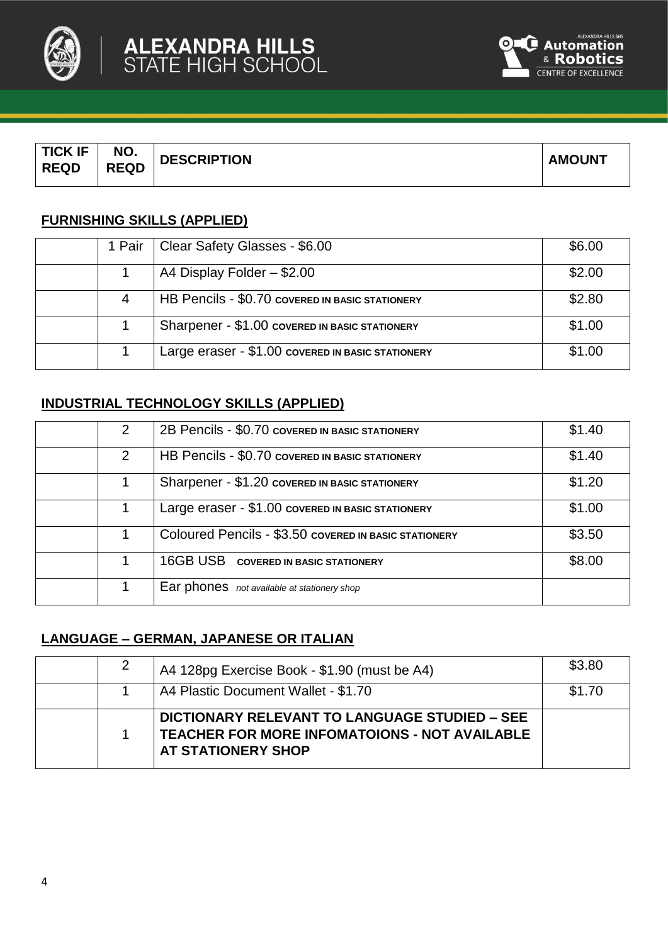



| <b>TICK IF</b><br><b>REQD</b> | NO.<br><b>REQD</b> | <b>DESCRIPTION</b> | <b>AMOUNT</b> |
|-------------------------------|--------------------|--------------------|---------------|
|                               |                    |                    |               |

#### **FURNISHING SKILLS (APPLIED)**

| 1 Pair | Clear Safety Glasses - \$6.00                     | \$6.00 |
|--------|---------------------------------------------------|--------|
|        | A4 Display Folder - \$2.00                        | \$2.00 |
|        | HB Pencils - \$0.70 COVERED IN BASIC STATIONERY   | \$2.80 |
|        | Sharpener - \$1.00 COVERED IN BASIC STATIONERY    | \$1.00 |
|        | Large eraser - \$1.00 covered IN BASIC STATIONERY | \$1.00 |

# **INDUSTRIAL TECHNOLOGY SKILLS (APPLIED)**

| $\mathcal{P}$ | 2B Pencils - \$0.70 COVERED IN BASIC STATIONERY       | \$1.40 |
|---------------|-------------------------------------------------------|--------|
| 2             | HB Pencils - \$0.70 COVERED IN BASIC STATIONERY       | \$1.40 |
|               | Sharpener - \$1.20 COVERED IN BASIC STATIONERY        | \$1.20 |
|               | Large eraser - \$1.00 covered IN BASIC STATIONERY     | \$1.00 |
|               | Coloured Pencils - \$3.50 COVERED IN BASIC STATIONERY | \$3.50 |
|               | <b>16GB USB COVERED IN BASIC STATIONERY</b>           | \$8.00 |
|               | Ear phones not available at stationery shop           |        |

# **LANGUAGE – GERMAN, JAPANESE OR ITALIAN**

|  | A4 128pg Exercise Book - \$1.90 (must be A4)                                                                                       | \$3.80 |
|--|------------------------------------------------------------------------------------------------------------------------------------|--------|
|  | A4 Plastic Document Wallet - \$1.70                                                                                                | \$1.70 |
|  | DICTIONARY RELEVANT TO LANGUAGE STUDIED - SEE<br><b>TEACHER FOR MORE INFOMATOIONS - NOT AVAILABLE</b><br><b>AT STATIONERY SHOP</b> |        |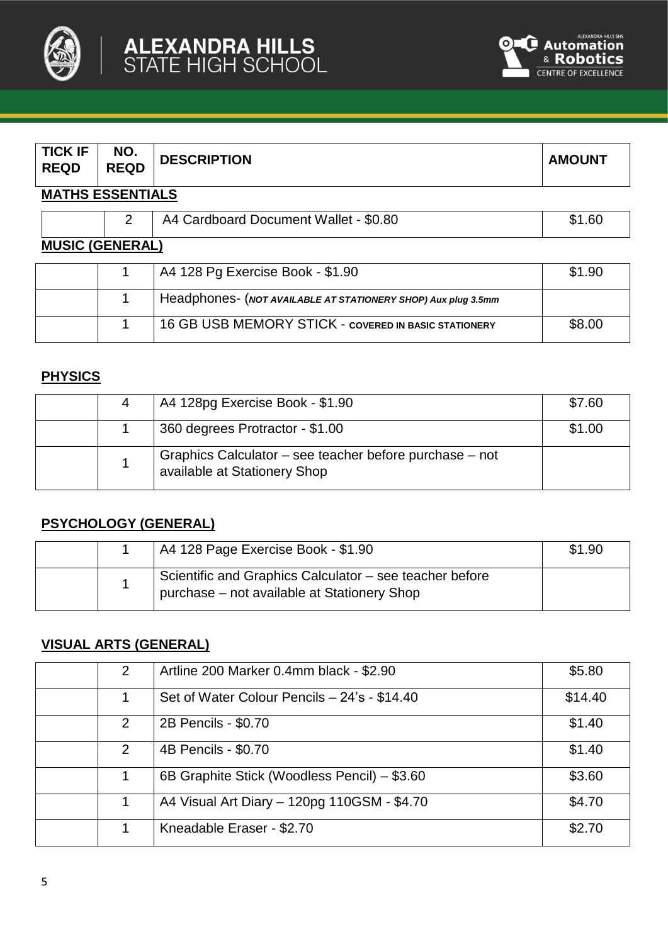



| <b>TICK IF</b><br><b>REQD</b> | NO.<br><b>REQD</b> | <b>DESCRIPTION</b>                                            | <b>AMOUNT</b> |
|-------------------------------|--------------------|---------------------------------------------------------------|---------------|
| <b>MATHS ESSENTIALS</b>       |                    |                                                               |               |
|                               | 2                  | A4 Cardboard Document Wallet - \$0.80                         | \$1.60        |
| <b>MUSIC (GENERAL)</b>        |                    |                                                               |               |
|                               |                    | A4 128 Pg Exercise Book - \$1.90                              | \$1.90        |
|                               |                    | Headphones- (NOT AVAILABLE AT STATIONERY SHOP) Aux plug 3.5mm |               |
|                               |                    | <b>16 GB USB MEMORY STICK - COVERED IN BASIC STATIONERY</b>   | \$8.00        |

# **PHYSICS**

|  | A4 128pg Exercise Book - \$1.90                                                         | \$7.60 |
|--|-----------------------------------------------------------------------------------------|--------|
|  | 360 degrees Protractor - \$1.00                                                         | \$1.00 |
|  | Graphics Calculator – see teacher before purchase – not<br>available at Stationery Shop |        |

# **PSYCHOLOGY (GENERAL)**

|  | A4 128 Page Exercise Book - \$1.90                                                                     | \$1.90 |
|--|--------------------------------------------------------------------------------------------------------|--------|
|  | Scientific and Graphics Calculator - see teacher before<br>purchase - not available at Stationery Shop |        |

#### **VISUAL ARTS (GENERAL)**

| 2 | Artline 200 Marker 0.4mm black - \$2.90      | \$5.80  |
|---|----------------------------------------------|---------|
|   | Set of Water Colour Pencils - 24's - \$14.40 | \$14.40 |
| 2 | 2B Pencils - \$0.70                          | \$1.40  |
| 2 | 4B Pencils - \$0.70                          | \$1.40  |
|   | 6B Graphite Stick (Woodless Pencil) - \$3.60 | \$3.60  |
|   | A4 Visual Art Diary - 120pg 110GSM - \$4.70  | \$4.70  |
|   | Kneadable Eraser - \$2.70                    | \$2.70  |